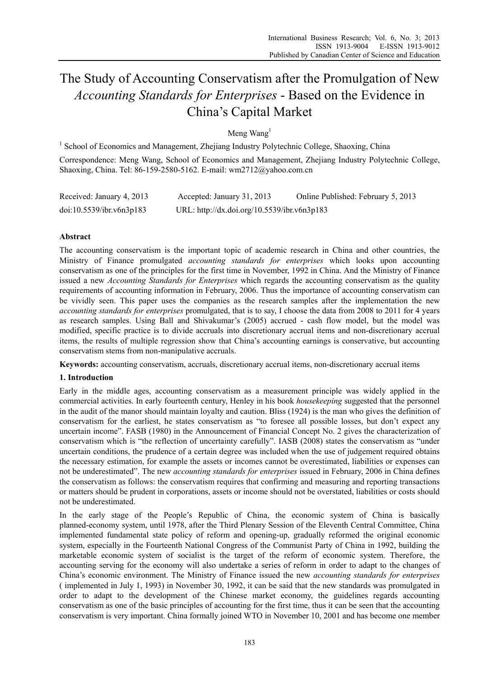# The Study of Accounting Conservatism after the Promulgation of New *Accounting Standards for Enterprises* - Based on the Evidence in China's Capital Market

## Meng Wang<sup>1</sup>

<sup>1</sup> School of Economics and Management, Zhejiang Industry Polytechnic College, Shaoxing, China Correspondence: Meng Wang, School of Economics and Management, Zhejiang Industry Polytechnic College,

Shaoxing, China. Tel: 86-159-2580-5162. E-mail: wm2712@yahoo.com.cn

| Received: January 4, 2013 | Accepted: January 31, 2013                  | Online Published: February 5, 2013 |
|---------------------------|---------------------------------------------|------------------------------------|
| doi:10.5539/ibr.v6n3p183  | URL: http://dx.doi.org/10.5539/ibr.v6n3p183 |                                    |

## **Abstract**

The accounting conservatism is the important topic of academic research in China and other countries, the Ministry of Finance promulgated *accounting standards for enterprises* which looks upon accounting conservatism as one of the principles for the first time in November, 1992 in China. And the Ministry of Finance issued a new *Accounting Standards for Enterprises* which regards the accounting conservatism as the quality requirements of accounting information in February, 2006. Thus the importance of accounting conservatism can be vividly seen. This paper uses the companies as the research samples after the implementation the new *accounting standards for enterprises* promulgated, that is to say, I choose the data from 2008 to 2011 for 4 years as research samples. Using Ball and Shivakumar's (2005) accrued - cash flow model, but the model was modified, specific practice is to divide accruals into discretionary accrual items and non-discretionary accrual items, the results of multiple regression show that China's accounting earnings is conservative, but accounting conservatism stems from non-manipulative accruals.

**Keywords:** accounting conservatism, accruals, discretionary accrual items, non-discretionary accrual items

## **1. Introduction**

Early in the middle ages, accounting conservatism as a measurement principle was widely applied in the commercial activities. In early fourteenth century, Henley in his book *housekeeping* suggested that the personnel in the audit of the manor should maintain loyalty and caution. Bliss (1924) is the man who gives the definition of conservatism for the earliest, he states conservatism as "to foresee all possible losses, but don't expect any uncertain income". FASB (1980) in the Announcement of Financial Concept No. 2 gives the characterization of conservatism which is "the reflection of uncertainty carefully". IASB (2008) states the conservatism as "under uncertain conditions, the prudence of a certain degree was included when the use of judgement required obtains the necessary estimation, for example the assets or incomes cannot be overestimated, liabilities or expenses can not be underestimated". The new *accounting standards for enterprises* issued in February, 2006 in China defines the conservatism as follows: the conservatism requires that confirming and measuring and reporting transactions or matters should be prudent in corporations, assets or income should not be overstated, liabilities or costs should not be underestimated.

In the early stage of the People's Republic of China, the economic system of China is basically planned-economy system, until 1978, after the Third Plenary Session of the Eleventh Central Committee, China implemented fundamental state policy of reform and opening-up, gradually reformed the original economic system, especially in the Fourteenth National Congress of the Communist Party of China in 1992, building the marketable economic system of socialist is the target of the reform of economic system. Therefore, the accounting serving for the economy will also undertake a series of reform in order to adapt to the changes of China's economic environment. The Ministry of Finance issued the new *accounting standards for enterprises* ( implemented in July 1, 1993) in November 30, 1992, it can be said that the new standards was promulgated in order to adapt to the development of the Chinese market economy, the guidelines regards accounting conservatism as one of the basic principles of accounting for the first time, thus it can be seen that the accounting conservatism is very important. China formally joined WTO in November 10, 2001 and has become one member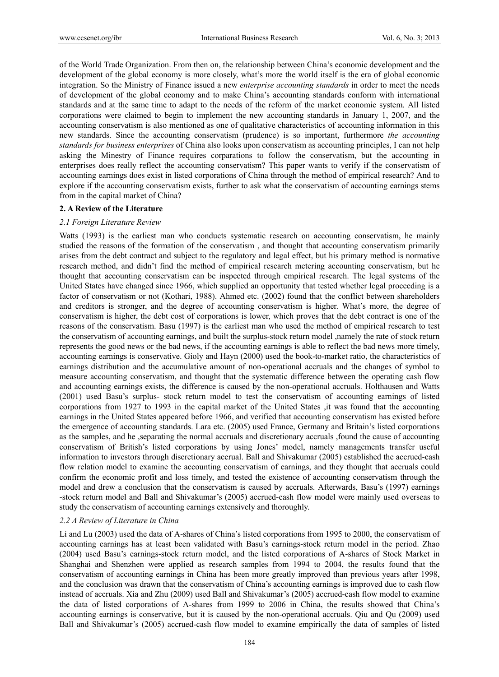of the World Trade Organization. From then on, the relationship between China's economic development and the development of the global economy is more closely, what's more the world itself is the era of global economic integration. So the Ministry of Finance issued a new *enterprise accounting standards* in order to meet the needs of development of the global economy and to make China's accounting standards conform with international standards and at the same time to adapt to the needs of the reform of the market economic system. All listed corporations were claimed to begin to implement the new accounting standards in January 1, 2007, and the accounting conservatism is also mentioned as one of qualitative characteristics of accounting information in this new standards. Since the accounting conservatism (prudence) is so important, furthermore *the accounting standards for business enterprises* of China also looks upon conservatism as accounting principles, I can not help asking the Minestry of Finance requires corparations to follow the conservatism, but the accounting in enterprises does really reflect the accounting conservatism? This paper wants to verify if the conservatism of accounting earnings does exist in listed corporations of China through the method of empirical research? And to explore if the accounting conservatism exists, further to ask what the conservatism of accounting earnings stems from in the capital market of China?

#### **2. A Review of the Literature**

### *2.1 Foreign Literature Review*

Watts (1993) is the earliest man who conducts systematic research on accounting conservatism, he mainly studied the reasons of the formation of the conservatism , and thought that accounting conservatism primarily arises from the debt contract and subject to the regulatory and legal effect, but his primary method is normative research method, and didn't find the method of empirical research metering accounting conservatism, but he thought that accounting conservatism can be inspected through empirical research. The legal systems of the United States have changed since 1966, which supplied an opportunity that tested whether legal proceeding is a factor of conservatism or not (Kothari, 1988). Ahmed etc. (2002) found that the conflict between shareholders and creditors is stronger, and the degree of accounting conservatism is higher. What's more, the degree of conservatism is higher, the debt cost of corporations is lower, which proves that the debt contract is one of the reasons of the conservatism. Basu (1997) is the earliest man who used the method of empirical research to test the conservatism of accounting earnings, and built the surplus-stock return model ,namely the rate of stock return represents the good news or the bad news, if the accounting earnings is able to reflect the bad news more timely, accounting earnings is conservative. Gioly and Hayn (2000) used the book-to-market ratio, the characteristics of earnings distribution and the accumulative amount of non-operational accruals and the changes of symbol to measure accounting conservatism, and thought that the systematic difference between the operating cash flow and accounting earnings exists, the difference is caused by the non-operational accruals. Holthausen and Watts (2001) used Basu's surplus- stock return model to test the conservatism of accounting earnings of listed corporations from 1927 to 1993 in the capital market of the United States ,it was found that the accounting earnings in the United States appeared before 1966, and verified that accounting conservatism has existed before the emergence of accounting standards. Lara etc. (2005) used France, Germany and Britain's listed corporations as the samples, and he ,separating the normal accruals and discretionary accruals ,found the cause of accounting conservatism of British's listed corporations by using Jones' model, namely managements transfer useful information to investors through discretionary accrual. Ball and Shivakumar (2005) established the accrued-cash flow relation model to examine the accounting conservatism of earnings, and they thought that accruals could confirm the economic profit and loss timely, and tested the existence of accounting conservatism through the model and drew a conclusion that the conservatism is caused by accruals. Afterwards, Basu's (1997) earnings -stock return model and Ball and Shivakumar's (2005) accrued-cash flow model were mainly used overseas to study the conservatism of accounting earnings extensively and thoroughly.

## *2.2 A Review of Literature in China*

Li and Lu (2003) used the data of A-shares of China's listed corporations from 1995 to 2000, the conservatism of accounting earnings has at least been validated with Basu's earnings-stock return model in the period. Zhao (2004) used Basu's earnings-stock return model, and the listed corporations of A-shares of Stock Market in Shanghai and Shenzhen were applied as research samples from 1994 to 2004, the results found that the conservatism of accounting earnings in China has been more greatly improved than previous years after 1998, and the conclusion was drawn that the conservatism of China's accounting earnings is improved due to cash flow instead of accruals. Xia and Zhu (2009) used Ball and Shivakumar's (2005) accrued-cash flow model to examine the data of listed corporations of A-shares from 1999 to 2006 in China, the results showed that China's accounting earnings is conservative, but it is caused by the non-operational accruals. Qiu and Qu (2009) used Ball and Shivakumar's (2005) accrued-cash flow model to examine empirically the data of samples of listed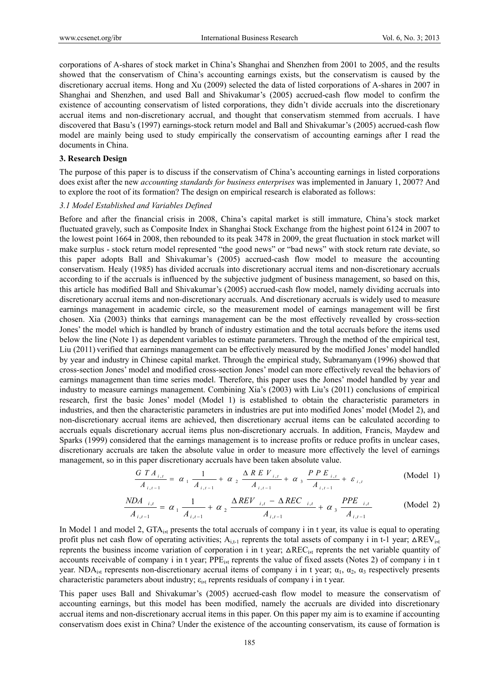corporations of A-shares of stock market in China's Shanghai and Shenzhen from 2001 to 2005, and the results showed that the conservatism of China's accounting earnings exists, but the conservatism is caused by the discretionary accrual items. Hong and Xu (2009) selected the data of listed corporations of A-shares in 2007 in Shanghai and Shenzhen, and used Ball and Shivakumar's (2005) accrued-cash flow model to confirm the existence of accounting conservatism of listed corporations, they didn't divide accruals into the discretionary accrual items and non-discretionary accrual, and thought that conservatism stemmed from accruals. I have discovered that Basu's (1997) earnings-stock return model and Ball and Shivakumar's (2005) accrued-cash flow model are mainly being used to study empirically the conservatism of accounting earnings after I read the documents in China.

#### **3. Research Design**

The purpose of this paper is to discuss if the conservatism of China's accounting earnings in listed corporations does exist after the new *accounting standards for business enterprises* was implemented in January 1, 2007? And to explore the root of its formation? The design on empirical research is elaborated as follows:

#### *3.1 Model Established and Variables Defined*

Before and after the financial crisis in 2008, China's capital market is still immature, China's stock market fluctuated gravely, such as Composite Index in Shanghai Stock Exchange from the highest point 6124 in 2007 to the lowest point 1664 in 2008, then rebounded to its peak 3478 in 2009, the great fluctuation in stock market will make surplus - stock return model represented "the good news" or "bad news" with stock return rate deviate, so this paper adopts Ball and Shivakumar's (2005) accrued-cash flow model to measure the accounting conservatism. Healy (1985) has divided accruals into discretionary accrual items and non-discretionary accruals according to if the accruals is influenced by the subjective judgment of business management, so based on this, this article has modified Ball and Shivakumar's (2005) accrued-cash flow model, namely dividing accruals into discretionary accrual items and non-discretionary accruals. And discretionary accruals is widely used to measure earnings management in academic circle, so the measurement model of earnings management will be first chosen. Xia (2003) thinks that earnings management can be the most effectively revealled by cross-section Jones' the model which is handled by branch of industry estimation and the total accruals before the items used below the line (Note 1) as dependent variables to estimate parameters. Through the method of the empirical test, Liu (2011) verified that earnings management can be effectively measured by the modified Jones' model handled by year and industry in Chinese capital market. Through the empirical study, Subramanyam (1996) showed that cross-section Jones' model and modified cross-section Jones' model can more effectively reveal the behaviors of earnings management than time series model. Therefore, this paper uses the Jones' model handled by year and industry to measure earnings management. Combining Xia's (2003) with Liu's (2011) conclusions of empirical research, first the basic Jones' model (Model 1) is established to obtain the characteristic parameters in industries, and then the characteristic parameters in industries are put into modified Jones' model (Model 2), and non-discretionary accrual items are achieved, then discretionary accrual items can be calculated according to accruals equals discretionary accrual items plus non-discretionary accruals. In addition, Francis, Maydew and Sparks (1999) considered that the earnings management is to increase profits or reduce profits in unclear cases, discretionary accruals are taken the absolute value in order to measure more effectively the level of earnings management, so in this paper discretionary accruals have been taken absolute value.

$$
\frac{G T A_{i,t}}{A_{i,t-1}} = \alpha_1 \frac{1}{A_{i,t-1}} + \alpha_2 \frac{\Delta R E V_{i,t}}{A_{i,t-1}} + \alpha_3 \frac{P P E_{i,t}}{A_{i,t-1}} + \varepsilon_{i,t}
$$
 (Model 1)

$$
\frac{NDA_{i,t}}{A_{i,t-1}} = \alpha_1 \frac{1}{A_{i,t-1}} + \alpha_2 \frac{\Delta REV_{i,t} - \Delta REC_{i,t}}{A_{i,t-1}} + \alpha_3 \frac{PPE_{i,t}}{A_{i,t-1}}
$$
 (Model 2)

In Model 1 and model 2, GTA<sub>i,t</sub> presents the total accruals of company i in t year, its value is equal to operating profit plus net cash flow of operating activities;  $A_{i,t-1}$  reprents the total assets of company i in t-1 year;  $\Delta REV_{i,t}$ reprents the business income variation of corporation i in t year;  $\triangle$ REC<sub>ist</sub> reprents the net variable quantity of accounts receivable of company i in t year; PPE<sub>i,t</sub> reprents the value of fixed assets (Notes 2) of company i in t year. NDA<sub>i,t</sub> represents non-discretionary accrual items of company i in t year;  $\alpha_1$ ,  $\alpha_2$ ,  $\alpha_3$  respectively presents characteristic parameters about industry;  $\varepsilon_{i,t}$  reprents residuals of company i in t year.

This paper uses Ball and Shivakumar's (2005) accrued-cash flow model to measure the conservatism of accounting earnings, but this model has been modified, namely the accruals are divided into discretionary accrual items and non-discretionary accrual items in this paper. On this paper my aim is to examine if accounting conservatism does exist in China? Under the existence of the accounting conservatism, its cause of formation is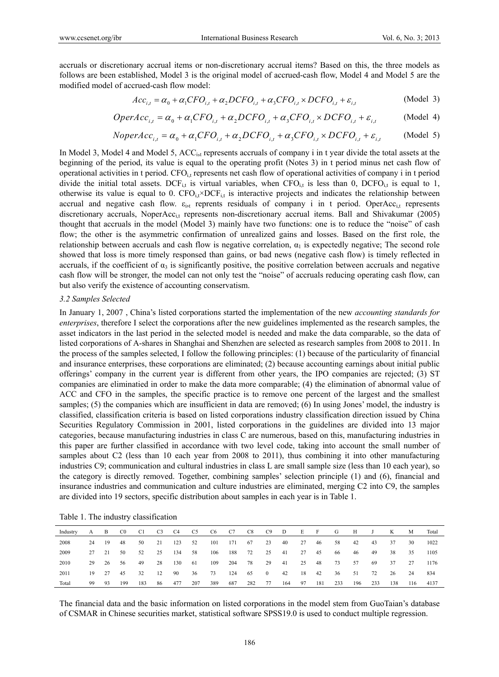accruals or discretionary accrual items or non-discretionary accrual items? Based on this, the three models as follows are been established, Model 3 is the original model of accrued-cash flow, Model 4 and Model 5 are the modified model of accrued-cash flow model:

$$
Acc_{i,t} = \alpha_0 + \alpha_1 CFO_{i,t} + \alpha_2 DCFO_{i,t} + \alpha_3 CFO_{i,t} \times DCFO_{i,t} + \varepsilon_{i,t}
$$
 (Model 3)

$$
OperAcc_{i,t} = \alpha_0 + \alpha_1 CFO_{i,t} + \alpha_2 DCFO_{i,t} + \alpha_3 CFO_{i,t} \times DCFO_{i,t} + \varepsilon_{i,t}
$$
 (Model 4)

*NoperAcc*<sub>i,t</sub> = 
$$
\alpha_0 + \alpha_1 CFO_{i,t} + \alpha_2 DCFO_{i,t} + \alpha_3 CFO_{i,t} \times DCFO_{i,t} + \varepsilon_{i,t}
$$
 (Model 5)

In Model 3, Model 4 and Model 5,  $ACC_{i,t}$  represents accruals of company i in t year divide the total assets at the beginning of the period, its value is equal to the operating profit (Notes 3) in t period minus net cash flow of operational activities in t period.  $CFO_{i}$  represents net cash flow of operational activities of company i in t period divide the initial total assets. DCF<sub>it</sub> is virtual variables, when CFO<sub>it</sub> is less than 0, DCFO<sub>it</sub> is equal to 1, otherwise its value is equal to 0.  $CFO_{it} \times DCF_{it}$  is interactive projects and indicates the relationship between accrual and negative cash flow.  $\varepsilon_{i,t}$  reprents residuals of company i in t period. OperAcc<sub>it</sub> represents discretionary accruals, NoperAcc<sub>i</sub>, represents non-discretionary accrual items. Ball and Shivakumar (2005) thought that accruals in the model (Model 3) mainly have two functions: one is to reduce the "noise" of cash flow; the other is the asymmetric confirmation of unrealized gains and losses. Based on the first role, the relationship between accruals and cash flow is negative correlation,  $\alpha_1$  is expectedly negative; The second role showed that loss is more timely responsed than gains, or bad news (negative cash flow) is timely reflected in accruals, if the coefficient of  $\alpha_3$  is significantly positive, the positive correlation between accruals and negative cash flow will be stronger, the model can not only test the "noise" of accruals reducing operating cash flow, can but also verify the existence of accounting conservatism.

## *3.2 Samples Selected*

In January 1, 2007 , China's listed corporations started the implementation of the new *accounting standards for enterprises*, therefore I select the corporations after the new guidelines implemented as the research samples, the asset indicators in the last period in the selected model is needed and make the data comparable, so the data of listed corporations of A-shares in Shanghai and Shenzhen are selected as research samples from 2008 to 2011. In the process of the samples selected, I follow the following principles: (1) because of the particularity of financial and insurance enterprises, these corporations are eliminated; (2) because accounting earnings about initial public offerings' company in the current year is different from other years, the IPO companies are rejected; (3) ST companies are eliminatied in order to make the data more comparable; (4) the elimination of abnormal value of ACC and CFO in the samples, the specific practice is to remove one percent of the largest and the smallest samples; (5) the companies which are insufficient in data are removed; (6) In using Jones' model, the industry is classified, classification criteria is based on listed corporations industry classification direction issued by China Securities Regulatory Commission in 2001, listed corporations in the guidelines are divided into 13 major categories, because manufacturing industries in class C are numerous, based on this, manufacturing industries in this paper are further classified in accordance with two level code, taking into account the small number of samples about C2 (less than 10 each year from 2008 to 2011), thus combining it into other manufacturing industries C9; communication and cultural industries in class L are small sample size (less than 10 each year), so the category is directly removed. Together, combining samples' selection principle (1) and (6), financial and insurance industries and communication and culture industries are eliminated, merging C2 into C9, the samples are divided into 19 sectors, specific distribution about samples in each year is in Table 1.

| Industry | А  | В  | C <sub>0</sub> | C1  | C <sub>3</sub> | C <sub>4</sub> | C5  | C <sub>6</sub> | C7  | C8  | C9           | D   | E  |     | G   | Н   |     | K   | М   | Total |
|----------|----|----|----------------|-----|----------------|----------------|-----|----------------|-----|-----|--------------|-----|----|-----|-----|-----|-----|-----|-----|-------|
| 2008     | 24 | 19 | 48             | 50  | 21             | 123            | 52  | 101            | 171 | 67  | 23           | 40  | 27 | 46  | 58  | 42  | 43  | 37  | 30  | 1022  |
| 2009     | 27 | 21 | 50             | 52  | 25             | 134            | 58  | 106            | 188 | 72  | 25           | 41  | 27 | 45  | 66  | 46  | 49  | 38  | 35  | 1105  |
| 2010     | 29 | 26 | 56             | 49  | 28             | 130            | -61 | 109            | 204 | 78  | 29           | 41  | 25 | 48  | 73  | 57  | -69 | 37  | 27  | 1176  |
| 2011     | 19 | 27 | 45             | 32  | 12             | 90             | 36  | 73             | 124 | 65  | $\mathbf{0}$ | 42  | 18 | 42  | 36  | 51  | 72  | 26  | 24  | 834   |
| Total    | 99 | 93 | 199            | 183 | 86             | 477            | 207 | 389            | 687 | 282 | 77           | 164 | 97 | 181 | 233 | 196 | 233 | 138 | 116 | 4137  |

Table 1. The industry classification

The financial data and the basic information on listed corporations in the model stem from GuoTaian's database of CSMAR in Chinese securities market, statistical software SPSS19.0 is used to conduct multiple regression.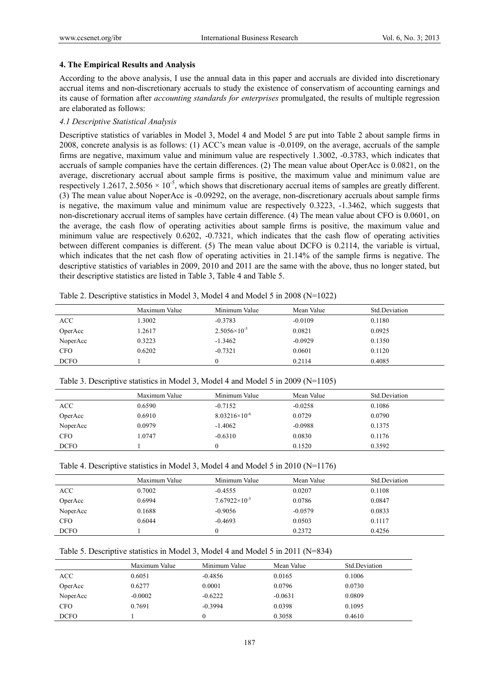## **4. The Empirical Results and Analysis**

According to the above analysis, I use the annual data in this paper and accruals are divided into discretionary accrual items and non-discretionary accruals to study the existence of conservatism of accounting earnings and its cause of formation after *accounting standards for enterprises* promulgated, the results of multiple regression are elaborated as follows:

## *4.1 Descriptive Statistical Analysis*

Descriptive statistics of variables in Model 3, Model 4 and Model 5 are put into Table 2 about sample firms in 2008, concrete analysis is as follows: (1) ACC's mean value is -0.0109, on the average, accruals of the sample firms are negative, maximum value and minimum value are respectively 1.3002, -0.3783, which indicates that accruals of sample companies have the certain differences. (2) The mean value about OperAcc is 0.0821, on the average, discretionary accrual about sample firms is positive, the maximum value and minimum value are respectively 1.2617, 2.5056  $\times$  10<sup>-5</sup>, which shows that discretionary accrual items of samples are greatly different. (3) The mean value about NoperAcc is -0.09292, on the average, non-discretionary accruals about sample firms is negative, the maximum value and minimum value are respectively 0.3223, -1.3462, which suggests that non-discretionary accrual items of samples have certain difference. (4) The mean value about CFO is 0.0601, on the average, the cash flow of operating activities about sample firms is positive, the maximum value and minimum value are respectively 0.6202, -0.7321, which indicates that the cash flow of operating activities between different companies is different. (5) The mean value about DCFO is 0.2114, the variable is virtual, which indicates that the net cash flow of operating activities in 21.14% of the sample firms is negative. The descriptive statistics of variables in 2009, 2010 and 2011 are the same with the above, thus no longer stated, but their descriptive statistics are listed in Table 3, Table 4 and Table 5.

|             | Maximum Value | Minimum Value         | Mean Value | Std.Deviation |  |
|-------------|---------------|-----------------------|------------|---------------|--|
| ACC         | 1.3002        | $-0.3783$             | $-0.0109$  | 0.1180        |  |
| OperAcc     | 1.2617        | $2.5056\times10^{-5}$ | 0.0821     | 0.0925        |  |
| NoperAcc    | 0.3223        | $-1.3462$             | $-0.0929$  | 0.1350        |  |
| <b>CFO</b>  | 0.6202        | $-0.7321$             | 0.0601     | 0.1120        |  |
| <b>DCFO</b> |               |                       | 0.2114     | 0.4085        |  |
|             |               |                       |            |               |  |

Table 2. Descriptive statistics in Model 3, Model 4 and Model 5 in 2008 (N=1022)

Table 3. Descriptive statistics in Model 3, Model 4 and Model 5 in 2009 (N=1105)

|             | Maximum Value | Minimum Value          | Mean Value | Std.Deviation |
|-------------|---------------|------------------------|------------|---------------|
| <b>ACC</b>  | 0.6590        | $-0.7152$              | $-0.0258$  | 0.1086        |
| OperAcc     | 0.6910        | $8.03216\times10^{-6}$ | 0.0729     | 0.0790        |
| NoperAcc    | 0.0979        | $-1.4062$              | $-0.0988$  | 0.1375        |
| <b>CFO</b>  | 1.0747        | $-0.6310$              | 0.0830     | 0.1176        |
| <b>DCFO</b> |               |                        | 0.1520     | 0.3592        |
|             |               |                        |            |               |

| Table 4. Descriptive statistics in Model 3, Model 4 and Model 5 in 2010 ( $N=1176$ ) |  |  |  |
|--------------------------------------------------------------------------------------|--|--|--|
|                                                                                      |  |  |  |

|             | Maximum Value | Minimum Value          | Mean Value | Std.Deviation |
|-------------|---------------|------------------------|------------|---------------|
| ACC         | 0.7002        | $-0.4555$              | 0.0207     | 0.1108        |
| OperAcc     | 0.6994        | $7.67922\times10^{-5}$ | 0.0786     | 0.0847        |
| NoperAcc    | 0.1688        | $-0.9056$              | $-0.0579$  | 0.0833        |
| <b>CFO</b>  | 0.6044        | $-0.4693$              | 0.0503     | 0.1117        |
| <b>DCFO</b> |               |                        | 0.2372     | 0.4256        |

Table 5. Descriptive statistics in Model 3, Model 4 and Model 5 in 2011 (N=834)

|             | Maximum Value | Minimum Value | Mean Value | Std.Deviation |
|-------------|---------------|---------------|------------|---------------|
| ACC.        | 0.6051        | $-0.4856$     | 0.0165     | 0.1006        |
| OperAcc     | 0.6277        | 0.0001        | 0.0796     | 0.0730        |
| NoperAcc    | $-0.0002$     | $-0.6222$     | $-0.0631$  | 0.0809        |
| <b>CFO</b>  | 0.7691        | $-0.3994$     | 0.0398     | 0.1095        |
| <b>DCFO</b> |               |               | 0.3058     | 0.4610        |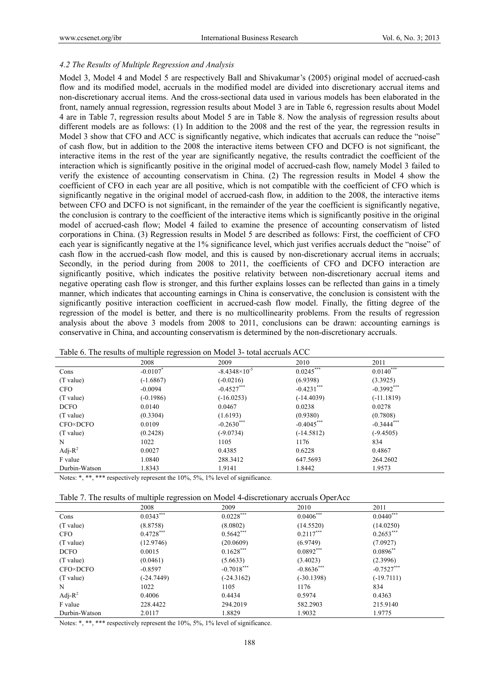## *4.2 The Results of Multiple Regression and Analysis*

Model 3, Model 4 and Model 5 are respectively Ball and Shivakumar's (2005) original model of accrued-cash flow and its modified model, accruals in the modified model are divided into discretionary accrual items and non-discretionary accrual items. And the cross-sectional data used in various models has been elaborated in the front, namely annual regression, regression results about Model 3 are in Table 6, regression results about Model 4 are in Table 7, regression results about Model 5 are in Table 8. Now the analysis of regression results about different models are as follows: (1) In addition to the 2008 and the rest of the year, the regression results in Model 3 show that CFO and ACC is significantly negative, which indicates that accruals can reduce the "noise" of cash flow, but in addition to the 2008 the interactive items between CFO and DCFO is not significant, the interactive items in the rest of the year are significantly negative, the results contradict the coefficient of the interaction which is significantly positive in the original model of accrued-cash flow, namely Model 3 failed to verify the existence of accounting conservatism in China. (2) The regression results in Model 4 show the coefficient of CFO in each year are all positive, which is not compatible with the coefficient of CFO which is significantly negative in the original model of accrued-cash flow, in addition to the 2008, the interactive items between CFO and DCFO is not significant, in the remainder of the year the coefficient is significantly negative, the conclusion is contrary to the coefficient of the interactive items which is significantly positive in the original model of accrued-cash flow; Model 4 failed to examine the presence of accounting conservatism of listed corporations in China. (3) Regression results in Model 5 are described as follows: First, the coefficient of CFO each year is significantly negative at the 1% significance level, which just verifies accruals deduct the "noise" of cash flow in the accrued-cash flow model, and this is caused by non-discretionary accrual items in accruals; Secondly, in the period during from 2008 to 2011, the coefficients of CFO and DCFO interaction are significantly positive, which indicates the positive relativity between non-discretionary accrual items and negative operating cash flow is stronger, and this further explains losses can be reflected than gains in a timely manner, which indicates that accounting earnings in China is conservative, the conclusion is consistent with the significantly positive interaction coefficient in accrued-cash flow model. Finally, the fitting degree of the regression of the model is better, and there is no multicollinearity problems. From the results of regression analysis about the above 3 models from 2008 to 2011, conclusions can be drawn: accounting earnings is conservative in China, and accounting conservatism is determined by the non-discretionary accruals.

| Table 6. The results of multiple regression on Model 3- total accruals ACC |             |                        |              |               |  |  |  |
|----------------------------------------------------------------------------|-------------|------------------------|--------------|---------------|--|--|--|
|                                                                            | 2008        | 2009                   | 2010         | 2011          |  |  |  |
| Cons                                                                       | $-0.0107$ * | $-8.4348\times10^{-5}$ | $0.0245***$  | $0.0140***$   |  |  |  |
| (T value)                                                                  | $(-1.6867)$ | $(-0.0216)$            | (6.9398)     | (3.3925)      |  |  |  |
| CFO                                                                        | $-0.0094$   | $-0.4527***$           | $-0.4231***$ | $-0.3992***$  |  |  |  |
| (T value)                                                                  | $(-0.1986)$ | $(-16.0253)$           | $(-14.4039)$ | $(-11.1819)$  |  |  |  |
| <b>DCFO</b>                                                                | 0.0140      | 0.0467                 | 0.0238       | 0.0278        |  |  |  |
| (T value)                                                                  | (0.3304)    | (1.6193)               | (0.9380)     | (0.7808)      |  |  |  |
| <b>CFO×DCFO</b>                                                            | 0.0109      | $-0.2630***$           | $-0.4045***$ | $-0.3444$ *** |  |  |  |
| (T value)                                                                  | (0.2428)    | $(-9.0734)$            | $(-14.5812)$ | $(-9.4505)$   |  |  |  |
| N                                                                          | 1022        | 1105                   | 1176         | 834           |  |  |  |
| Adj- $R^2$                                                                 | 0.0027      | 0.4385                 | 0.6228       | 0.4867        |  |  |  |
| F value                                                                    | 1.0840      | 288.3412               | 647.5693     | 264.2602      |  |  |  |
| Durbin-Watson                                                              | 1.8343      | 1.9141                 | 1.8442       | 1.9573        |  |  |  |
|                                                                            |             |                        |              |               |  |  |  |

|  |  |  | Table 6. The results of multiple regression on Model 3- total accruals ACC |
|--|--|--|----------------------------------------------------------------------------|
|  |  |  |                                                                            |

Notes: \*, \*\*, \*\*\* respectively represent the 10%,  $\frac{5}{6}$ , 1% level of significance.

| Table 7. The results of multiple regression on Model 4-discretionary accruals OperAcc |  |  |
|---------------------------------------------------------------------------------------|--|--|
|                                                                                       |  |  |

|                 | 2008         | 2009         | 2010         | 2011         |  |
|-----------------|--------------|--------------|--------------|--------------|--|
| Cons            | $0.0343***$  | $0.0228***$  | $0.0406***$  | $0.0440***$  |  |
| (T value)       | (8.8758)     | (8.0802)     | (14.5520)    | (14.0250)    |  |
| <b>CFO</b>      | $0.4728***$  | $0.5642***$  | $0.2117***$  | $0.2653***$  |  |
| (T value)       | (12.9746)    | (20.0609)    | (6.9749)     | (7.0927)     |  |
| <b>DCFO</b>     | 0.0015       | $0.1628***$  | $0.0892***$  | $0.0896**$   |  |
| (T value)       | (0.0461)     | (5.6633)     | (3.4023)     | (2.3996)     |  |
| <b>CFO×DCFO</b> | $-0.8597$    | $-0.7018***$ | $-0.8636***$ | $-0.7527***$ |  |
| (T value)       | $(-24.7449)$ | $(-24.3162)$ | $(-30.1398)$ | $(-19.7111)$ |  |
| N               | 1022         | 1105         | 1176         | 834          |  |
| Adj- $R^2$      | 0.4006       | 0.4434       | 0.5974       | 0.4363       |  |
| F value         | 228.4422     | 294.2019     | 582.2903     | 215.9140     |  |
| Durbin-Watson   | 2.0117       | 1.8829       | 1.9032       | 1.9775       |  |

Notes: \*, \*\*, \*\*\* respectively represent the 10%, 5%, 1% level of significance.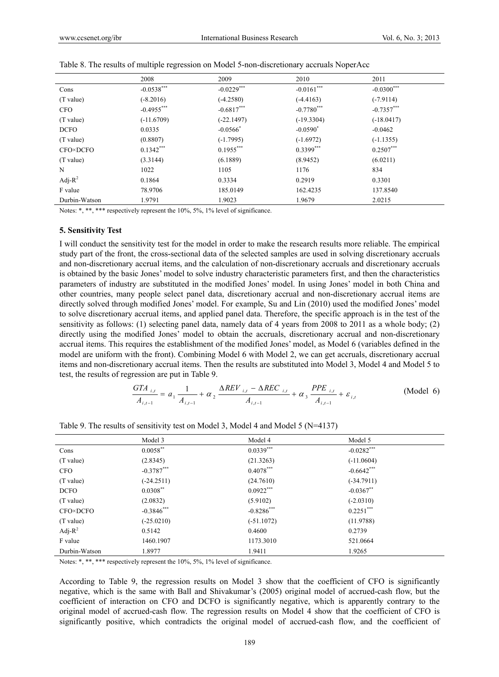|                 | 2008         | 2009         | 2010         | 2011         |
|-----------------|--------------|--------------|--------------|--------------|
| Cons            | $-0.0538***$ | $-0.0229***$ | $-0.0161***$ | $-0.0300***$ |
| (T value)       | $(-8.2016)$  | $(-4.2580)$  | $(-4.4163)$  | $(-7.9114)$  |
| <b>CFO</b>      | $-0.4955***$ | $-0.6817***$ | $-0.7780***$ | $-0.7357***$ |
| (T value)       | $(-11.6709)$ | $(-22.1497)$ | $(-19.3304)$ | $(-18.0417)$ |
| <b>DCFO</b>     | 0.0335       | $-0.0566^*$  | $-0.0590^*$  | $-0.0462$    |
| (T value)       | (0.8807)     | $(-1.7995)$  | $(-1.6972)$  | $(-1.1355)$  |
| <b>CFO×DCFO</b> | $0.1342***$  | $0.1955***$  | $0.3399***$  | $0.2507***$  |
| (T value)       | (3.3144)     | (6.1889)     | (8.9452)     | (6.0211)     |
| N               | 1022         | 1105         | 1176         | 834          |
| Adj- $R^2$      | 0.1864       | 0.3334       | 0.2919       | 0.3301       |
| F value         | 78.9706      | 185.0149     | 162.4235     | 137.8540     |
| Durbin-Watson   | 1.9791       | 1.9023       | 1.9679       | 2.0215       |

|  |  |  |  |  |  | Table 8. The results of multiple regression on Model 5-non-discretionary accruals NoperAcc |  |
|--|--|--|--|--|--|--------------------------------------------------------------------------------------------|--|
|  |  |  |  |  |  |                                                                                            |  |

Notes: \*, \*\*, \*\*\* respectively represent the 10%, 5%, 1% level of significance.

#### **5. Sensitivity Test**

I will conduct the sensitivity test for the model in order to make the research results more reliable. The empirical study part of the front, the cross-sectional data of the selected samples are used in solving discretionary accruals and non-discretionary accrual items, and the calculation of non-discretionary accruals and discretionary accruals is obtained by the basic Jones' model to solve industry characteristic parameters first, and then the characteristics parameters of industry are substituted in the modified Jones' model. In using Jones' model in both China and other countries, many people select panel data, discretionary accrual and non-discretionary accrual items are directly solved through modified Jones' model. For example, Su and Lin (2010) used the modified Jones' model to solve discretionary accrual items, and applied panel data. Therefore, the specific approach is in the test of the sensitivity as follows: (1) selecting panel data, namely data of 4 years from 2008 to 2011 as a whole body; (2) directly using the modified Jones' model to obtain the accruals, discretionary accrual and non-discretionary accrual items. This requires the establishment of the modified Jones' model, as Model 6 (variables defined in the model are uniform with the front). Combining Model 6 with Model 2, we can get accruals, discretionary accrual items and non-discretionary accrual items. Then the results are substituted into Model 3, Model 4 and Model 5 to test, the results of regression are put in Table 9.

$$
\frac{GTA_{i,t}}{A_{i,t-1}} = a_1 \frac{1}{A_{i,t-1}} + \alpha_2 \frac{\Delta REV_{i,t} - \Delta REC_{i,t}}{A_{i,t-1}} + \alpha_3 \frac{PPE_{i,t}}{A_{i,t-1}} + \varepsilon_{i,t}
$$
 (Model 6)

|                 | Model 3       | Model 4      | Model 5      |
|-----------------|---------------|--------------|--------------|
| Cons            | $0.0058$ **   | $0.0339***$  | $-0.0282***$ |
| (T value)       | (2.8345)      | (21.3263)    | $(-11.0604)$ |
| <b>CFO</b>      | $-0.3787***$  | $0.4078***$  | $-0.6642***$ |
| (T value)       | $(-24.2511)$  | (24.7610)    | $(-34.7911)$ |
| <b>DCFO</b>     | $0.0308***$   | $0.0922***$  | $-0.0367$ ** |
| (T value)       | (2.0832)      | (5.9102)     | $(-2.0310)$  |
| <b>CFO×DCFO</b> | $-0.3846$ *** | $-0.8286***$ | $0.2251***$  |
| (T value)       | $(-25.0210)$  | $(-51.1072)$ | (11.9788)    |
| Adj- $R^2$      | 0.5142        | 0.4600       | 0.2739       |
| F value         | 1460.1907     | 1173.3010    | 521.0664     |
| Durbin-Watson   | 1.8977        | 1.9411       | 1.9265       |

Table 9. The results of sensitivity test on Model 3, Model 4 and Model 5 ( $N=4137$ )

Notes: \*, \*\*, \*\*\* respectively represent the 10%, 5%, 1% level of significance.

According to Table 9, the regression results on Model 3 show that the coefficient of CFO is significantly negative, which is the same with Ball and Shivakumar's (2005) original model of accrued-cash flow, but the coefficient of interaction on CFO and DCFO is significantly negative, which is apparently contrary to the original model of accrued-cash flow. The regression results on Model 4 show that the coefficient of CFO is significantly positive, which contradicts the original model of accrued-cash flow, and the coefficient of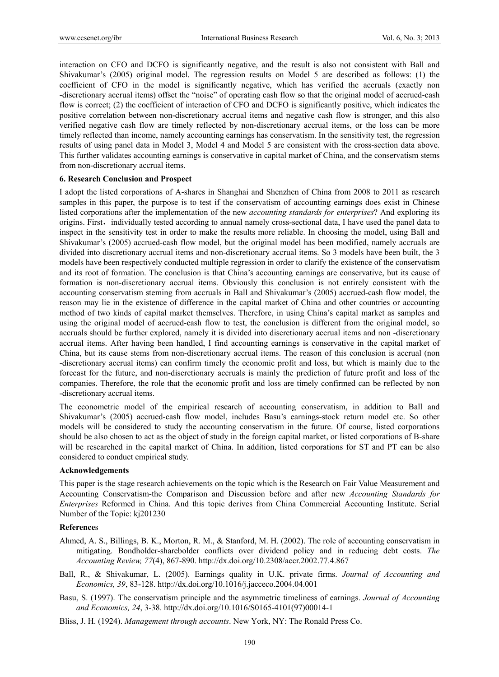interaction on CFO and DCFO is significantly negative, and the result is also not consistent with Ball and Shivakumar's (2005) original model. The regression results on Model 5 are described as follows: (1) the coefficient of CFO in the model is significantly negative, which has verified the accruals (exactly non -discretionary accrual items) offset the "noise" of operating cash flow so that the original model of accrued-cash flow is correct; (2) the coefficient of interaction of CFO and DCFO is significantly positive, which indicates the positive correlation between non-discretionary accrual items and negative cash flow is stronger, and this also verified negative cash flow are timely reflected by non-discretionary accrual items, or the loss can be more timely reflected than income, namely accounting earnings has conservatism. In the sensitivity test, the regression results of using panel data in Model 3, Model 4 and Model 5 are consistent with the cross-section data above. This further validates accounting earnings is conservative in capital market of China, and the conservatism stems from non-discretionary accrual items.

#### **6. Research Conclusion and Prospect**

I adopt the listed corporations of A-shares in Shanghai and Shenzhen of China from 2008 to 2011 as research samples in this paper, the purpose is to test if the conservatism of accounting earnings does exist in Chinese listed corporations after the implementation of the new *accounting standards for enterprises*? And exploring its origins. First, individually tested according to annual namely cross-sectional data, I have used the panel data to inspect in the sensitivity test in order to make the results more reliable. In choosing the model, using Ball and Shivakumar's (2005) accrued-cash flow model, but the original model has been modified, namely accruals are divided into discretionary accrual items and non-discretionary accrual items. So 3 models have been built, the 3 models have been respectively conducted multiple regression in order to clarify the existence of the conservatism and its root of formation. The conclusion is that China's accounting earnings are conservative, but its cause of formation is non-discretionary accrual items. Obviously this conclusion is not entirely consistent with the accounting conservatism steming from accruals in Ball and Shivakumar's (2005) accrued-cash flow model, the reason may lie in the existence of difference in the capital market of China and other countries or accounting method of two kinds of capital market themselves. Therefore, in using China's capital market as samples and using the original model of accrued-cash flow to test, the conclusion is different from the original model, so accruals should be further explored, namely it is divided into discretionary accrual items and non -discretionary accrual items. After having been handled, I find accounting earnings is conservative in the capital market of China, but its cause stems from non-discretionary accrual items. The reason of this conclusion is accrual (non -discretionary accrual items) can confirm timely the economic profit and loss, but which is mainly due to the forecast for the future, and non-discretionary accruals is mainly the prediction of future profit and loss of the companies. Therefore, the role that the economic profit and loss are timely confirmed can be reflected by non -discretionary accrual items.

The econometric model of the empirical research of accounting conservatism, in addition to Ball and Shivakumar's (2005) accrued-cash flow model, includes Basu's earnings-stock return model etc. So other models will be considered to study the accounting conservatism in the future. Of course, listed corporations should be also chosen to act as the object of study in the foreign capital market, or listed corporations of B-share will be researched in the capital market of China. In addition, listed corporations for ST and PT can be also considered to conduct empirical study.

#### **Acknowledgements**

This paper is the stage research achievements on the topic which is the Research on Fair Value Measurement and Accounting Conservatism-the Comparison and Discussion before and after new *Accounting Standards for Enterprises* Reformed in China. And this topic derives from China Commercial Accounting Institute. Serial Number of the Topic: kj201230

#### **Reference**s

- Ahmed, A. S., Billings, B. K., Morton, R. M., & Stanford, M. H. (2002). The role of accounting conservatism in mitigating. Bondholder-sharebolder conflicts over dividend policy and in reducing debt costs. *The Accounting Review, 77*(4), 867-890. http://dx.doi.org/10.2308/accr.2002.77.4.867
- Ball, R., & Shivakumar, L. (2005). Earnings quality in U.K. private firms. *Journal of Accounting and Economics, 39*, 83-128. http://dx.doi.org/10.1016/j.jacceco.2004.04.001
- Basu, S. (1997). The conservatism principle and the asymmetric timeliness of earnings. *Journal of Accounting and Economics, 24*, 3-38. http://dx.doi.org/10.1016/S0165-4101(97)00014-1
- Bliss, J. H. (1924). *Management through accounts*. New York, NY: The Ronald Press Co.